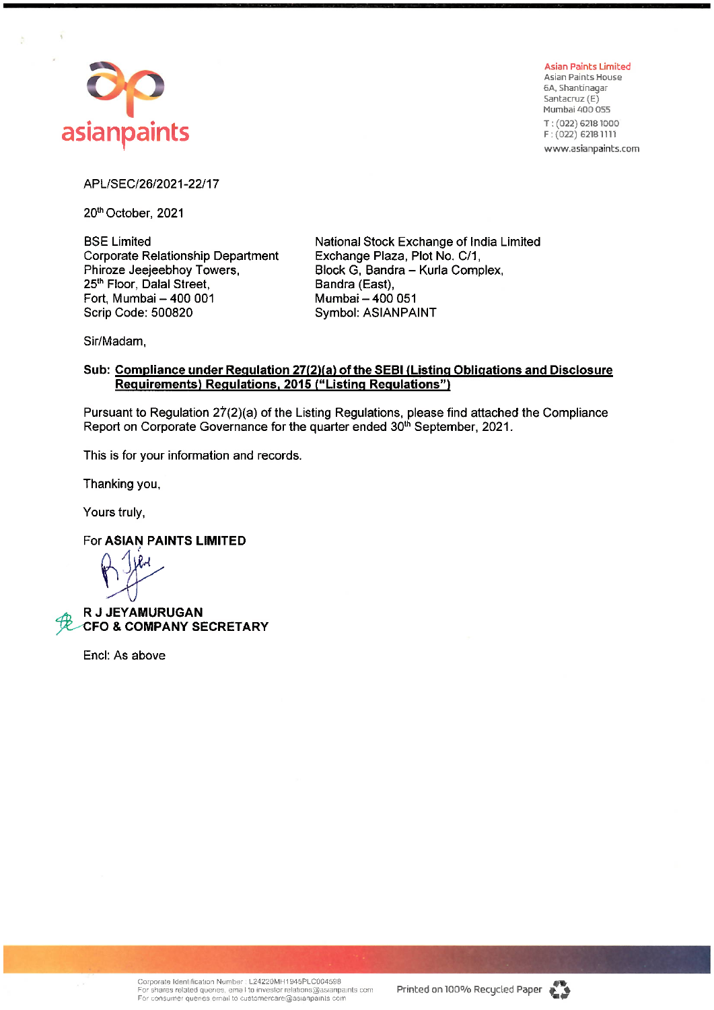

**Asian Paints Limited Asian Paints House** 6A, Shantinagar Santacruz (E) Mumbai 400 055 T: (022) 6218 1000 F: (022) 6218 1111 www.asianpaints.com

APL/SEC/26/2021-22/17

20th October, 2021

**BSE Limited** Corporate Relationship Department Phiroze Jeejeebhoy Towers, 25<sup>th</sup> Floor. Dalal Street. Fort, Mumbai - 400 001 Scrip Code: 500820

National Stock Exchange of India Limited Exchange Plaza, Plot No. C/1, Block G, Bandra - Kurla Complex, Bandra (East), Mumbai - 400 051 **Symbol: ASIANPAINT** 

Sir/Madam,

## Sub: Compliance under Regulation 27(2)(a) of the SEBI (Listing Obligations and Disclosure Requirements) Regulations, 2015 ("Listing Regulations")

Pursuant to Regulation 27(2)(a) of the Listing Regulations, please find attached the Compliance Report on Corporate Governance for the quarter ended 30<sup>th</sup> September, 2021.

This is for your information and records.

Thanking you,

Yours truly,

For ASIAN PAINTS LIMITED

**R J JEYAMURUGAN CFO & COMPANY SECRETARY** 

Encl: As above

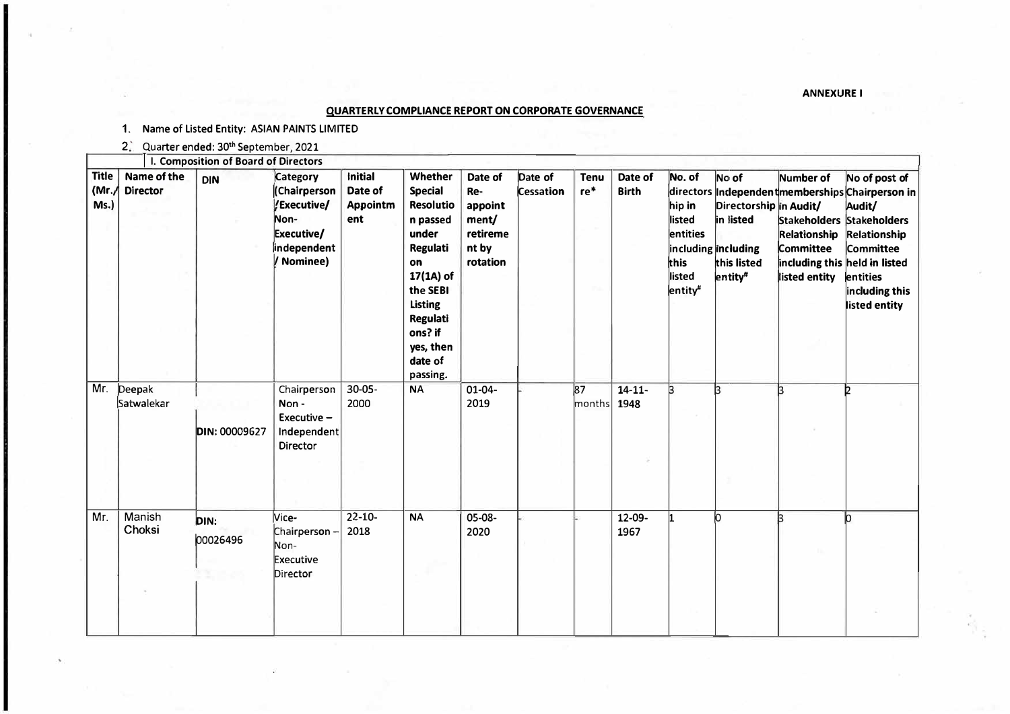**ANNEXURE I** 

|                               |                                | I. Composition of Board of Directors |                                                                                            |                                                     |                                                                                                                                                                                                   |                                                                     |                             |                       |                         |                                                                                 |                                                                                                           |                                                                                          |                                                                                                                                                                                      |
|-------------------------------|--------------------------------|--------------------------------------|--------------------------------------------------------------------------------------------|-----------------------------------------------------|---------------------------------------------------------------------------------------------------------------------------------------------------------------------------------------------------|---------------------------------------------------------------------|-----------------------------|-----------------------|-------------------------|---------------------------------------------------------------------------------|-----------------------------------------------------------------------------------------------------------|------------------------------------------------------------------------------------------|--------------------------------------------------------------------------------------------------------------------------------------------------------------------------------------|
| <b>Title</b><br>(Mr.)<br>Ms.) | Name of the<br><b>Director</b> | <b>DIN</b>                           | Category<br>(Chairperson<br>/Executive/<br>Non-<br>Executive/<br>independent<br>/ Nominee) | <b>Initial</b><br>Date of<br><b>Appointm</b><br>ent | Whether<br><b>Special</b><br><b>Resolutio</b><br>n passed<br>under<br><b>Regulati</b><br>on<br>17(1A) of<br>the SEBI<br><b>Listing</b><br>Regulati<br>ons? if<br>yes, then<br>date of<br>passing. | Date of<br>Re-<br>appoint<br>ment/<br>retireme<br>nt by<br>rotation | Date of<br><b>Cessation</b> | <b>Tenu</b><br>$re$ * | Date of<br><b>Birth</b> | No. of<br>hip in<br>listed<br>entities<br>this<br>listed<br>entity <sup>#</sup> | No of<br>Directorship in Audit/<br>in listed<br>including including<br>this listed<br>entity <sup>#</sup> | Number of<br>Relationship<br>Committee<br>including this held in listed<br>listed entity | No of post of<br>directors Independent memberships Chairperson in<br>Audit/<br>Stakeholders Stakeholders<br>Relationship<br>Committee<br>entities<br>including this<br>listed entity |
| Mr.                           | Deepak<br>Satwalekar           | DIN: 00009627                        | Chairperson<br>Non-<br>Executive -<br>Independent<br>Director                              | $30 - 05 -$<br>2000                                 | <b>NA</b>                                                                                                                                                                                         | $01 - 04 -$<br>2019                                                 |                             | 87<br>months          | $14 - 11 -$<br>1948     | l3                                                                              | k                                                                                                         | k                                                                                        |                                                                                                                                                                                      |
| Mr.                           | Manish<br>Choksi               | DIN:<br>00026496                     | Vice-<br>Chairperson-<br>Non-<br>Executive<br>Director                                     | $22 - 10 -$<br>2018                                 | <b>NA</b>                                                                                                                                                                                         | 05-08-<br>2020                                                      |                             |                       | 12-09-<br>1967          |                                                                                 | lo.                                                                                                       |                                                                                          |                                                                                                                                                                                      |

## **QUARTERLY COMPLIANCE REPORT ON CORPORATE GOVERNANCE**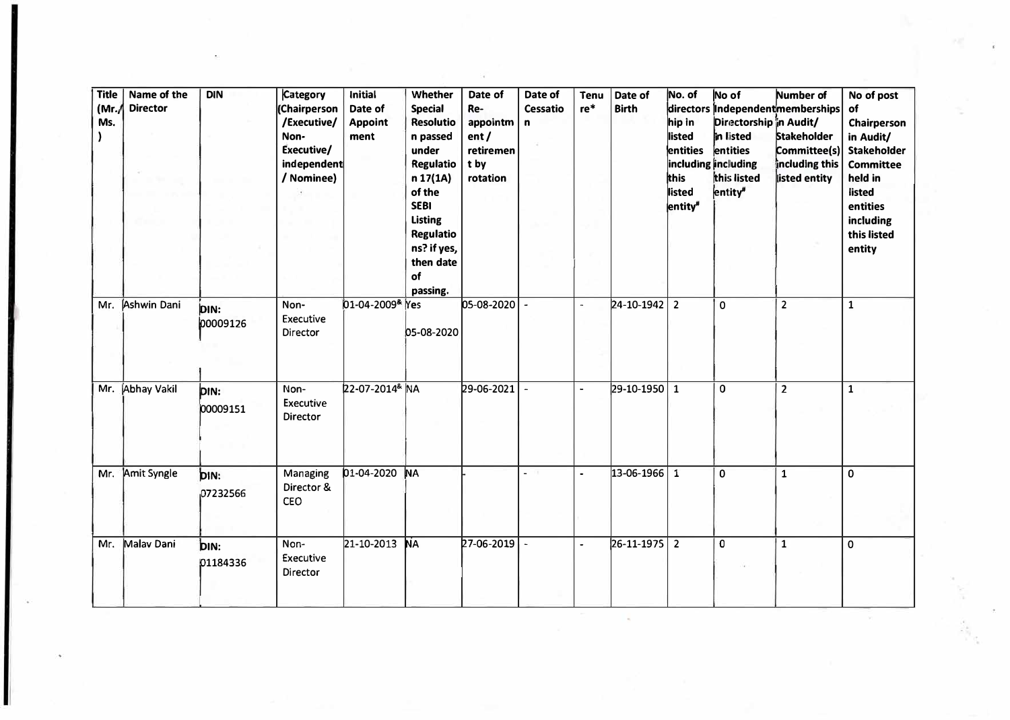| <b>Title</b><br>(Mr.)<br>Ms. | Name of the<br><b>Director</b> | <b>DIN</b>       | Category<br><b>Chairperson</b><br>/Executive/<br>Non-<br>Executive/<br>independent<br>/ Nominee) | Initial<br>Date of<br><b>Appoint</b><br>ment | Whether<br><b>Special</b><br><b>Resolutio</b><br>n passed<br>under<br><b>Regulatio</b><br>n 17(1A)<br>of the<br><b>SEBI</b><br><b>Listing</b><br><b>Regulatio</b><br>ns? if yes,<br>then date<br>of<br>passing. | Date of<br>Re-<br>appointm<br>ent/<br>retiremen<br>t by<br>rotation | Date of<br>Cessatio<br>$\mathbf{r}$ | Tenu<br>re*          | Date of<br><b>Birth</b> | No. of<br>hip in<br>listed<br>entities<br>this<br>listed<br>entity <sup>#</sup> | No of<br>Directorship in Audit/<br>in listed<br>entities<br>including including<br>this listed<br>entity <sup>#</sup> | Number of<br>directors independent memberships<br><b>Stakeholder</b><br>Committee(s)<br>including this<br>listed entity | No of post<br>of<br>Chairperson<br>in Audit/<br><b>Stakeholder</b><br><b>Committee</b><br>held in<br>listed<br>entities<br>including<br>this listed<br>entity |
|------------------------------|--------------------------------|------------------|--------------------------------------------------------------------------------------------------|----------------------------------------------|-----------------------------------------------------------------------------------------------------------------------------------------------------------------------------------------------------------------|---------------------------------------------------------------------|-------------------------------------|----------------------|-------------------------|---------------------------------------------------------------------------------|-----------------------------------------------------------------------------------------------------------------------|-------------------------------------------------------------------------------------------------------------------------|---------------------------------------------------------------------------------------------------------------------------------------------------------------|
| Mr.                          | Ashwin Dani                    | DIN:<br>00009126 | Non-<br>Executive<br>Director                                                                    | 01-04-2009 <sup>&amp;</sup> Yes              | 05-08-2020                                                                                                                                                                                                      | $ 05-08-2020 $ -                                                    |                                     | $\overline{a}$       | 24-10-1942              | $\overline{2}$                                                                  | $\mathbf 0$                                                                                                           | $\overline{2}$                                                                                                          | $\mathbf{1}$                                                                                                                                                  |
| Mr.                          | Abhay Vakil                    | DIN:<br>00009151 | Non-<br>Executive<br>Director                                                                    | 22-07-2014 <sup>&amp;</sup> NA               |                                                                                                                                                                                                                 | 29-06-2021                                                          |                                     | $\ddot{\phantom{0}}$ | 29-10-1950              | $\mathbf{1}$                                                                    | 0                                                                                                                     | $\overline{2}$                                                                                                          | $\mathbf{1}$                                                                                                                                                  |
| Mr.                          | Amit Syngle                    | DIN:<br>07232566 | Managing<br>Director &<br>CEO                                                                    | 01-04-2020                                   | <b>NA</b>                                                                                                                                                                                                       |                                                                     | 而<br>L.                             | $\ddot{\phantom{0}}$ | 13-06-1966              | $\mathbf{1}$                                                                    | 0                                                                                                                     | $\mathbf{1}$                                                                                                            | 0                                                                                                                                                             |
| Mr.                          | Malav Dani                     | DIN:<br>01184336 | Non-<br>Executive<br>Director                                                                    | 21-10-2013                                   | <b>NA</b>                                                                                                                                                                                                       | $27 - 06 - 2019$                                                    | $\sim$                              | $\blacksquare$       | 26-11-1975              | $\overline{2}$                                                                  | 0                                                                                                                     | $\mathbf{1}$                                                                                                            | $\mathbf 0$                                                                                                                                                   |

 $\sim$ 

 $\overline{\mathbf{r}}$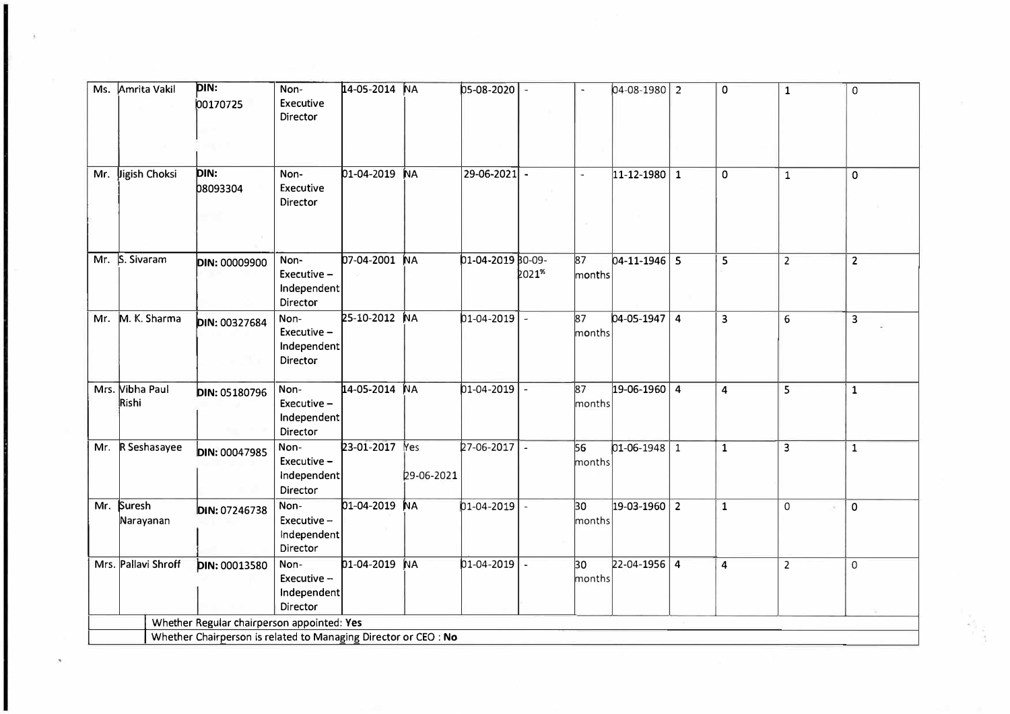| Ms. | Amrita Vakil             | DIN:<br>00170725                                                                                              | Non-<br>Executive<br>Director                    | 14-05-2014    | <b>NA</b>         | 05-08-2020         |        |                           | $04 - 08 - 1980$ 2 |                | 0                       | $\mathbf 1$    | $\mathsf{O}$   |
|-----|--------------------------|---------------------------------------------------------------------------------------------------------------|--------------------------------------------------|---------------|-------------------|--------------------|--------|---------------------------|--------------------|----------------|-------------------------|----------------|----------------|
| Mr. | Jigish Choksi            | DIN:<br><b>08093304</b>                                                                                       | Non-<br>Executive<br>Director                    | 01-04-2019    | <b>NA</b>         | $29 - 06 - 2021$ - |        | $\sim$                    | $11 - 12 - 1980$   | $\mathbf{1}$   | 0                       | $\overline{1}$ | $\mathbf 0$    |
|     | Mr. S. Sivaram           | <b>DIN: 00009900</b>                                                                                          | Non-<br>Executive-<br>Independent<br>Director    | 07-04-2001    | <b>NA</b>         | 01-04-2019 B0-09-  | 2021%  | $\overline{87}$<br>months | $04 - 11 - 1946$ 5 |                | 5                       | $\overline{2}$ | $\overline{2}$ |
| Mr. | M. K. Sharma             | DIN: 00327684                                                                                                 | Non-<br>Executive-<br>Independent<br>Director    | 25-10-2012    | <b>NA</b>         | $01-04-2019$ -     |        | $\overline{87}$<br>months | $04 - 05 - 1947$   | $\overline{4}$ | $\overline{\mathbf{3}}$ | $6\phantom{1}$ | 3              |
|     | Mrs. Vibha Paul<br>Rishi | DIN: 05180796                                                                                                 | Non-<br>Executive -<br>Independent<br>Director   | 14-05-2014 NA |                   | $01 - 04 - 2019$   |        | $\overline{87}$<br>months | $19-06-1960$ 4     |                | $\overline{4}$          | $\overline{5}$ | $\mathbf{1}$   |
| Mr. | R Seshasayee             | <b>DIN: 00047985</b>                                                                                          | Non-<br>Executive -<br>independent<br>Director   | 23-01-2017    | Yes<br>29-06-2021 | 27-06-2017         | $\sim$ | 56<br>months              | $01-06-1948$ 1     |                | $\mathbf{1}$            | 3              | $\mathbf{1}$   |
| Mr. | Suresh<br>Narayanan      | DIN: 07246738                                                                                                 | Non-<br>Executive -<br>Independent<br>Director   | 01-04-2019    | <b>NA</b>         | $01 - 04 - 2019$   |        | 30<br>months              | $19-03-1960$ 2     |                | $\mathbf{1}$            | $\Omega$       | $\mathbf 0$    |
|     | Mrs. Pallavi Shroff      | DIN: 00013580                                                                                                 | Non-<br>Executive $-$<br>Independent<br>Director | 01-04-2019    | <b>NA</b>         | $01 - 04 - 2019$   |        | 30<br>months              | $22 - 04 - 1956$ 4 |                | $\overline{4}$          | $\overline{2}$ | $\mathsf{O}$   |
|     |                          | Whether Regular chairperson appointed: Yes<br>Whether Chairperson is related to Managing Director or CEO : No |                                                  |               |                   |                    |        |                           |                    |                |                         |                |                |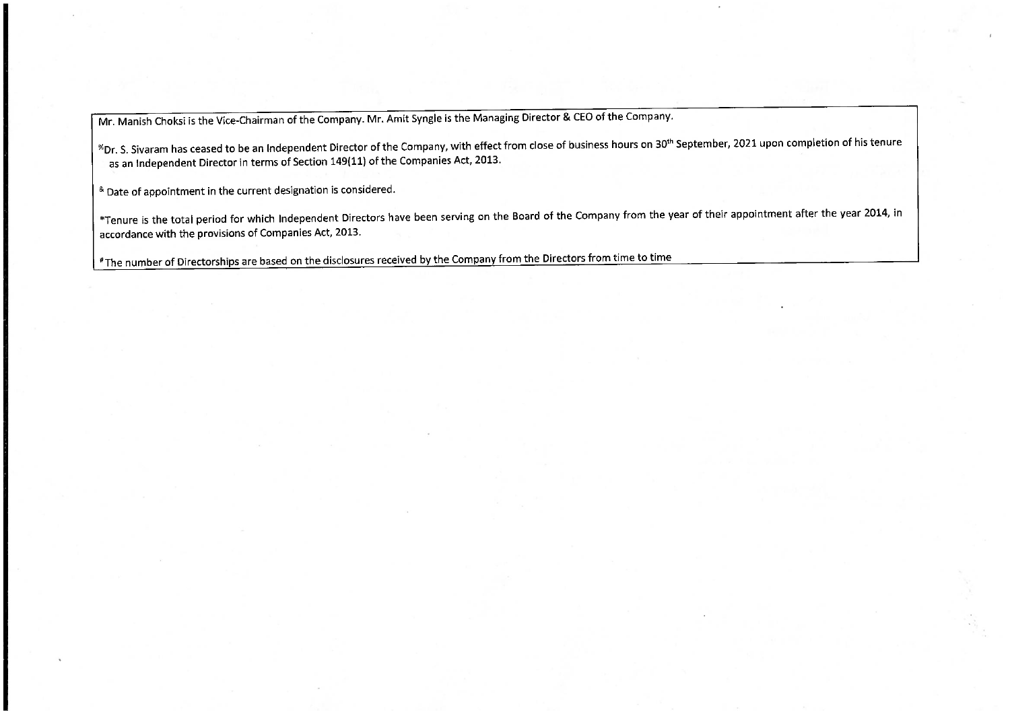Mr. Manish Choksi is the Vice-Chairman of the Company. Mr. Amit Syngle is the Managing Director & CEO of the Company.

<sup>%</sup>Dr. S. Sivaram has ceased to be an Independent Director of the Company, with effect from close of business hours on 30<sup>th</sup> September, 2021 upon completion of his tenure as an Independent Director in terms of Section 149(11) of the Companies Act, 2013.

<sup>&</sup> Date of appointment in the current designation is considered.

\*Tenure is the total period for which Independent Directors have been serving on the Board of the Company from the year of their appointment after the year 2014, in accordance with the provisions of Companies Act, 2013.

"The number of Directorships are based on the disclosures received by the Company from the Directors from time to time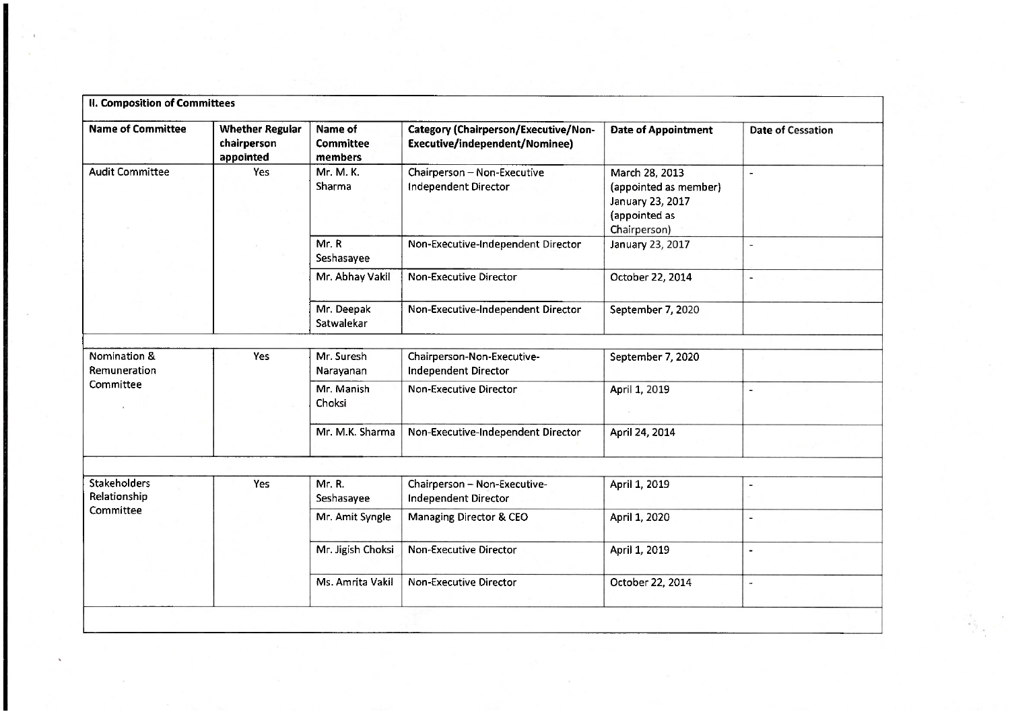| II. Composition of Committees |                                                    |                                 |                                                                        |                                                                                              |                          |  |  |  |  |
|-------------------------------|----------------------------------------------------|---------------------------------|------------------------------------------------------------------------|----------------------------------------------------------------------------------------------|--------------------------|--|--|--|--|
| <b>Name of Committee</b>      | <b>Whether Regular</b><br>chairperson<br>appointed | Name of<br>Committee<br>members | Category (Chairperson/Executive/Non-<br>Executive/independent/Nominee) | <b>Date of Appointment</b>                                                                   | <b>Date of Cessation</b> |  |  |  |  |
| <b>Audit Committee</b>        | Yes                                                | Mr. M. K.<br>Sharma             | Chairperson - Non-Executive<br>Independent Director                    | March 28, 2013<br>(appointed as member)<br>January 23, 2017<br>(appointed as<br>Chairperson) | $\overline{\phantom{a}}$ |  |  |  |  |
|                               |                                                    | Mr. R<br>Seshasayee             | Non-Executive-Independent Director                                     | January 23, 2017                                                                             | $\sim$                   |  |  |  |  |
|                               |                                                    | Mr. Abhay Vakil                 | <b>Non-Executive Director</b>                                          | October 22, 2014                                                                             | $\sim$                   |  |  |  |  |
|                               |                                                    | Mr. Deepak<br>Satwalekar        | Non-Executive-Independent Director                                     | September 7, 2020                                                                            |                          |  |  |  |  |
| Nomination &<br>Remuneration  | Yes                                                | Mr. Suresh<br>Narayanan         | Chairperson-Non-Executive-<br>Independent Director                     | September 7, 2020                                                                            |                          |  |  |  |  |
| Committee                     |                                                    | Mr. Manish<br>Choksi            | Non-Executive Director                                                 | April 1, 2019                                                                                | $\overline{a}$           |  |  |  |  |
|                               |                                                    | Mr. M.K. Sharma                 | Non-Executive-Independent Director                                     | April 24, 2014                                                                               |                          |  |  |  |  |
|                               |                                                    |                                 |                                                                        |                                                                                              |                          |  |  |  |  |
| Stakeholders<br>Relationship  | Yes                                                | Mr. R.<br>Seshasayee            | Chairperson - Non-Executive-<br>Independent Director                   | April 1, 2019                                                                                | ۰                        |  |  |  |  |
| Committee                     |                                                    | Mr. Amit Syngle                 | Managing Director & CEO                                                | April 1, 2020                                                                                | $\overline{\phantom{a}}$ |  |  |  |  |
|                               |                                                    | Mr. Jigish Choksi               | Non-Executive Director                                                 | April 1, 2019                                                                                | $\overline{a}$           |  |  |  |  |
|                               |                                                    | Ms. Amrita Vakil                | Non-Executive Director                                                 | October 22, 2014                                                                             | $\tilde{\phantom{a}}$    |  |  |  |  |
|                               |                                                    |                                 |                                                                        |                                                                                              |                          |  |  |  |  |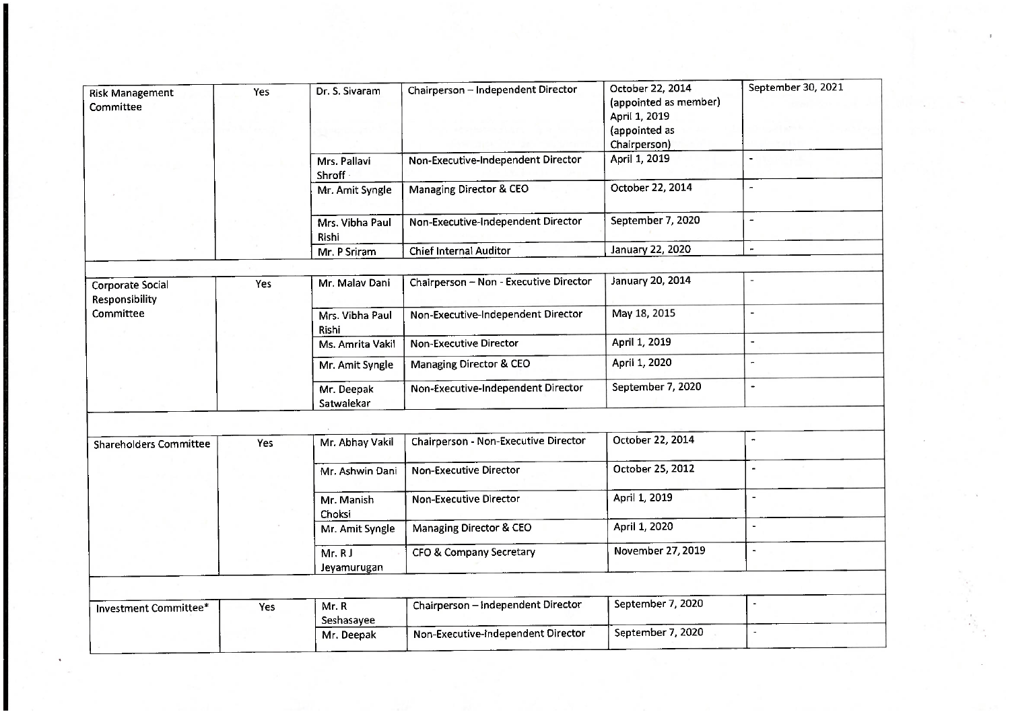|                                     |     |                          |                                        |                                                                                             | September 30, 2021       |
|-------------------------------------|-----|--------------------------|----------------------------------------|---------------------------------------------------------------------------------------------|--------------------------|
| <b>Risk Management</b><br>Committee | Yes | Dr. S. Sivaram           | Chairperson - Independent Director     | October 22, 2014<br>(appointed as member)<br>April 1, 2019<br>(appointed as<br>Chairperson) |                          |
|                                     |     | Mrs. Pallavi<br>Shroff   | Non-Executive-Independent Director     | April 1, 2019                                                                               | ÷                        |
|                                     |     | Mr. Amit Syngle          | Managing Director & CEO                | October 22, 2014                                                                            | $\overline{\phantom{a}}$ |
|                                     |     | Mrs. Vibha Paul<br>Rishi | Non-Executive-Independent Director     | September 7, 2020                                                                           | $\frac{1}{2}$            |
|                                     |     | Mr. P Sriram             | <b>Chief Internal Auditor</b>          | January 22, 2020                                                                            | $\ddot{\phantom{1}}$     |
|                                     |     |                          |                                        |                                                                                             |                          |
| Corporate Social<br>Responsibility  | Yes | Mr. Malav Dani           | Chairperson - Non - Executive Director | January 20, 2014                                                                            |                          |
| Committee                           |     | Mrs. Vibha Paul<br>Rishi | Non-Executive-Independent Director     | May 18, 2015                                                                                | $\blacksquare$           |
|                                     |     | Ms. Amrita Vakil         | <b>Non-Executive Director</b>          | April 1, 2019                                                                               | $\blacksquare$           |
|                                     |     | Mr. Amit Syngle          | Managing Director & CEO                | April 1, 2020                                                                               |                          |
|                                     |     | Mr. Deepak<br>Satwalekar | Non-Executive-Independent Director     | September 7, 2020                                                                           | $\overline{\phantom{a}}$ |
|                                     |     |                          |                                        |                                                                                             |                          |
| <b>Shareholders Committee</b>       | Yes | Mr. Abhay Vakil          | Chairperson - Non-Executive Director   | October 22, 2014                                                                            | $\overline{\phantom{a}}$ |
|                                     |     | Mr. Ashwin Dani          | <b>Non-Executive Director</b>          | October 25, 2012                                                                            | $\blacksquare$           |
|                                     |     | Mr. Manish<br>Choksi     | Non-Executive Director                 | April 1, 2019                                                                               | $\overline{\phantom{a}}$ |
|                                     |     | Mr. Amit Syngle          | Managing Director & CEO                | April 1, 2020                                                                               | $\overline{\phantom{a}}$ |
|                                     |     | Mr. RJ<br>Jeyamurugan    | CFO & Company Secretary                | November 27, 2019                                                                           | $\overline{\phantom{a}}$ |
|                                     |     |                          |                                        |                                                                                             |                          |
| Investment Committee*               | Yes | Mr. R<br>Seshasayee      | Chairperson - Independent Director     | September 7, 2020                                                                           |                          |
|                                     |     | Mr. Deepak               | Non-Executive-Independent Director     | September 7, 2020                                                                           | $\blacksquare$           |
|                                     |     |                          |                                        |                                                                                             |                          |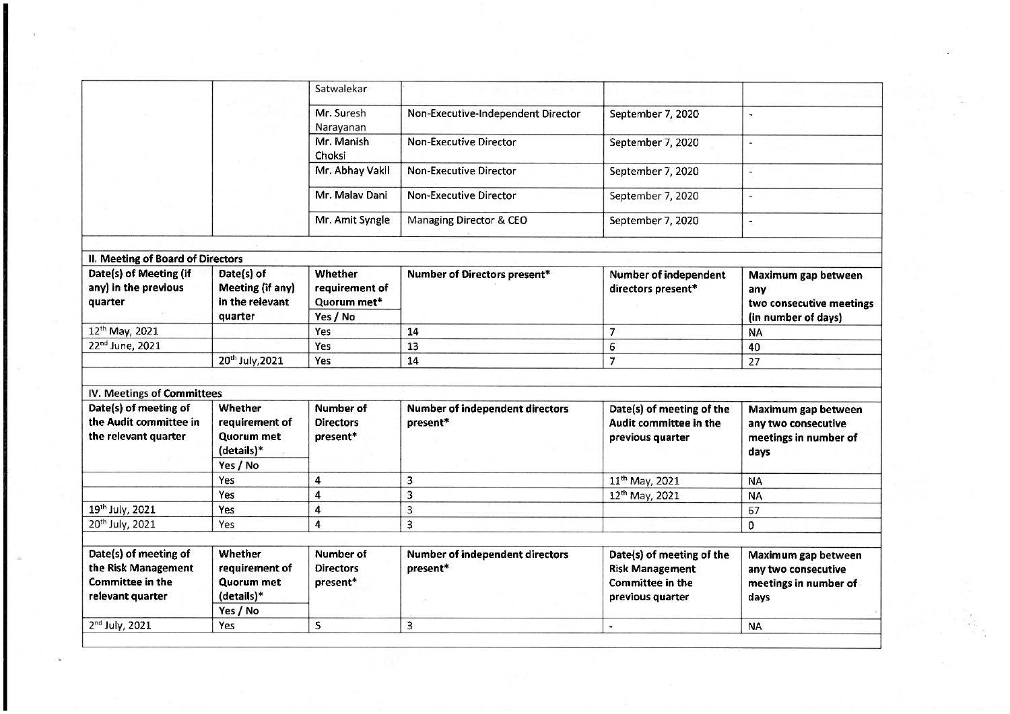|                                                                                             |                                                                                 | Satwalekar                                |                                                    |                                                                                                    |                                                                             |
|---------------------------------------------------------------------------------------------|---------------------------------------------------------------------------------|-------------------------------------------|----------------------------------------------------|----------------------------------------------------------------------------------------------------|-----------------------------------------------------------------------------|
|                                                                                             |                                                                                 | Mr. Suresh<br>Narayanan                   | Non-Executive-Independent Director                 | September 7, 2020                                                                                  | L                                                                           |
|                                                                                             |                                                                                 | Mr. Manish<br>Choksi                      | <b>Non-Executive Director</b>                      | September 7, 2020                                                                                  | $\blacksquare$                                                              |
|                                                                                             |                                                                                 | Mr. Abhay Vakil                           | Non-Executive Director                             | September 7, 2020                                                                                  | $\overline{\phantom{a}}$                                                    |
|                                                                                             |                                                                                 | Mr. Malav Dani                            | <b>Non-Executive Director</b>                      | September 7, 2020                                                                                  | $\overline{a}$                                                              |
|                                                                                             |                                                                                 | Mr. Amit Syngle                           | Managing Director & CEO                            | September 7, 2020                                                                                  | $\overline{a}$                                                              |
|                                                                                             |                                                                                 |                                           |                                                    |                                                                                                    |                                                                             |
| II. Meeting of Board of Directors                                                           |                                                                                 |                                           |                                                    |                                                                                                    |                                                                             |
| Date(s) of Meeting (if<br>any) in the previous<br>quarter                                   | Date(s) of<br>Meeting (if any)<br>in the relevant                               | Whether<br>requirement of<br>Quorum met*  | Number of Directors present*                       | <b>Number of independent</b><br>directors present*                                                 | Maximum gap between<br>any<br>two consecutive meetings                      |
|                                                                                             | quarter                                                                         | Yes / No                                  |                                                    |                                                                                                    | (in number of days)                                                         |
| 12 <sup>th</sup> May, 2021                                                                  |                                                                                 | <b>Yes</b>                                | 14                                                 | $\overline{7}$                                                                                     | <b>NA</b>                                                                   |
| 22 <sup>nd</sup> June, 2021                                                                 |                                                                                 | <b>Yes</b>                                | 13                                                 | 6                                                                                                  | 40                                                                          |
|                                                                                             | 20th July, 2021                                                                 | <b>Yes</b>                                | 14                                                 | $\overline{7}$                                                                                     | 27                                                                          |
|                                                                                             |                                                                                 |                                           |                                                    |                                                                                                    |                                                                             |
| IV. Meetings of Committees                                                                  |                                                                                 |                                           |                                                    |                                                                                                    |                                                                             |
| Date(s) of meeting of                                                                       | Whether                                                                         | Number of                                 | Number of independent directors                    | Date(s) of meeting of the                                                                          | Maximum gap between                                                         |
| the Audit committee in                                                                      | requirement of                                                                  | <b>Directors</b>                          | present*                                           | Audit committee in the                                                                             | any two consecutive                                                         |
| the relevant quarter                                                                        | Quorum met                                                                      | present*                                  |                                                    | previous quarter                                                                                   | meetings in number of                                                       |
|                                                                                             | (details)*                                                                      |                                           |                                                    |                                                                                                    | days                                                                        |
|                                                                                             | Yes / No                                                                        |                                           |                                                    |                                                                                                    |                                                                             |
|                                                                                             | <b>Yes</b>                                                                      | 4                                         | 3                                                  | 11 <sup>th</sup> May, 2021                                                                         | <b>NA</b>                                                                   |
|                                                                                             | Yes                                                                             | $\overline{\mathbf{4}}$                   | 3                                                  | 12th May, 2021                                                                                     | <b>NA</b>                                                                   |
| 19th July, 2021                                                                             | Yes                                                                             | $\overline{\mathbf{4}}$                   | $\overline{3}$                                     |                                                                                                    | 67                                                                          |
| 20th July, 2021                                                                             | Yes                                                                             | $\overline{4}$                            | 3                                                  |                                                                                                    | $\mathbf 0$                                                                 |
|                                                                                             |                                                                                 |                                           |                                                    |                                                                                                    |                                                                             |
| Date(s) of meeting of<br>the Risk Management<br><b>Committee in the</b><br>relevant quarter | <b>Whether</b><br>requirement of<br><b>Quorum met</b><br>(details)*<br>Yes / No | Number of<br><b>Directors</b><br>present* | <b>Number of independent directors</b><br>present* | Date(s) of meeting of the<br><b>Risk Management</b><br><b>Committee in the</b><br>previous quarter | Maximum gap between<br>any two consecutive<br>meetings in number of<br>days |
| 2nd July, 2021                                                                              | Yes.                                                                            | 5                                         | $\overline{3}$                                     | $\blacksquare$                                                                                     | <b>NA</b>                                                                   |
|                                                                                             |                                                                                 |                                           |                                                    |                                                                                                    |                                                                             |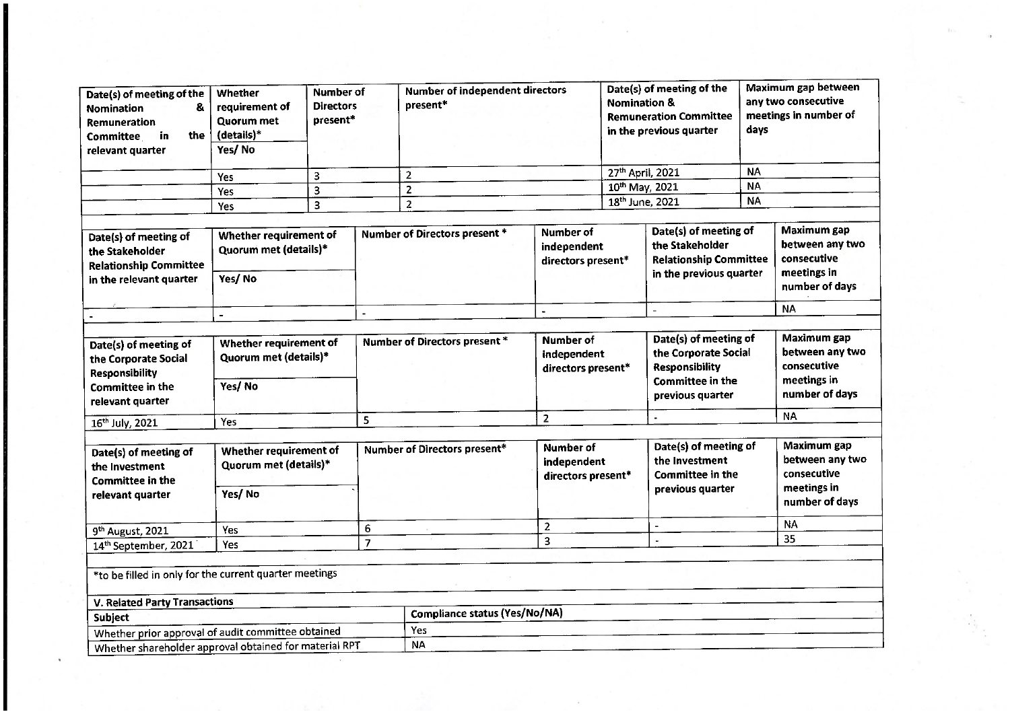| Date(s) of meeting of the<br>8.<br><b>Nomination</b><br>Remuneration<br>the<br>in<br><b>Committee</b><br>relevant quarter                                       | Whether<br>requirement of<br><b>Ouorum</b> met<br>(details)*<br>Yes/No | <b>Number of</b><br><b>Directors</b><br>present* |                | <b>Number of independent directors</b><br>present*                              |                                                       | Date(s) of meeting of the<br><b>Nomination &amp;</b><br><b>Remuneration Committee</b><br>in the previous quarter |                                                                                                                | Maximum gap between<br>any two consecutive<br>meetings in number of<br>days |                                                                                |
|-----------------------------------------------------------------------------------------------------------------------------------------------------------------|------------------------------------------------------------------------|--------------------------------------------------|----------------|---------------------------------------------------------------------------------|-------------------------------------------------------|------------------------------------------------------------------------------------------------------------------|----------------------------------------------------------------------------------------------------------------|-----------------------------------------------------------------------------|--------------------------------------------------------------------------------|
|                                                                                                                                                                 |                                                                        | 3                                                |                | $\overline{2}$                                                                  |                                                       | 27th April, 2021                                                                                                 |                                                                                                                | <b>NA</b>                                                                   |                                                                                |
|                                                                                                                                                                 | Yes                                                                    | 3                                                |                | $\overline{2}$                                                                  |                                                       | 10 <sup>th</sup> May, 2021                                                                                       |                                                                                                                | <b>NA</b>                                                                   |                                                                                |
|                                                                                                                                                                 | Yes                                                                    | 3                                                |                | $\overline{2}$                                                                  |                                                       | 18 <sup>th</sup> June, 2021                                                                                      |                                                                                                                | <b>NA</b>                                                                   |                                                                                |
|                                                                                                                                                                 | Yes                                                                    |                                                  |                |                                                                                 |                                                       |                                                                                                                  |                                                                                                                |                                                                             |                                                                                |
| Date(s) of meeting of<br>the Stakeholder<br><b>Relationship Committee</b><br>in the relevant quarter                                                            | Whether requirement of<br>Quorum met (details)*<br>Yes/No              |                                                  |                | Number of<br>Number of Directors present *<br>independent<br>directors present* |                                                       | Date(s) of meeting of<br>the Stakeholder<br><b>Relationship Committee</b><br>in the previous quarter             |                                                                                                                |                                                                             | Maximum gap<br>between any two<br>consecutive<br>meetings in<br>number of days |
|                                                                                                                                                                 |                                                                        |                                                  | ۰.             |                                                                                 | $\blacksquare$                                        |                                                                                                                  | $\overline{a}$                                                                                                 |                                                                             | <b>NA</b>                                                                      |
|                                                                                                                                                                 |                                                                        |                                                  |                |                                                                                 |                                                       |                                                                                                                  |                                                                                                                |                                                                             |                                                                                |
| Date(s) of meeting of<br>the Corporate Social<br><b>Responsibility</b><br>Committee in the<br>relevant quarter                                                  | Whether requirement of<br>Quorum met (details)*<br>Yes/No              |                                                  |                | <b>Number of Directors present *</b>                                            | Number of<br>independent<br>directors present*        |                                                                                                                  | Date(s) of meeting of<br>the Corporate Social<br><b>Responsibility</b><br>Committee in the<br>previous quarter |                                                                             | Maximum gap<br>between any two<br>consecutive<br>meetings in<br>number of days |
| 16 <sup>th</sup> July, 2021                                                                                                                                     | Yes                                                                    |                                                  | 5              |                                                                                 | $\overline{2}$                                        |                                                                                                                  |                                                                                                                |                                                                             | <b>NA</b>                                                                      |
|                                                                                                                                                                 |                                                                        |                                                  |                |                                                                                 |                                                       |                                                                                                                  |                                                                                                                |                                                                             |                                                                                |
| Date(s) of meeting of<br>the Investment<br>Committee in the<br>relevant quarter                                                                                 | Whether requirement of<br>Quorum met (details)*<br>Yes/No              |                                                  |                | Number of Directors present*                                                    | <b>Number of</b><br>independent<br>directors present* |                                                                                                                  | Date(s) of meeting of<br>the Investment<br><b>Committee in the</b><br>previous quarter                         |                                                                             | Maximum gap<br>between any two<br>consecutive<br>meetings in<br>number of days |
|                                                                                                                                                                 | Yes                                                                    |                                                  | 6              |                                                                                 | $\overline{2}$                                        |                                                                                                                  |                                                                                                                |                                                                             | <b>NA</b>                                                                      |
| 9 <sup>th</sup> August, 2021<br>14th September, 2021                                                                                                            | Yes                                                                    |                                                  | $\overline{7}$ |                                                                                 | 3                                                     |                                                                                                                  | $\omega$                                                                                                       |                                                                             | 35                                                                             |
| *to be filled in only for the current quarter meetings<br><b>V. Related Party Transactions</b><br>Subject<br>Whether prior approval of audit committee obtained |                                                                        |                                                  |                | Compliance status (Yes/No/NA)<br>Yes                                            |                                                       |                                                                                                                  |                                                                                                                |                                                                             |                                                                                |
| Whether shareholder approval obtained for material RPT                                                                                                          |                                                                        |                                                  |                | <b>NA</b>                                                                       |                                                       |                                                                                                                  |                                                                                                                |                                                                             |                                                                                |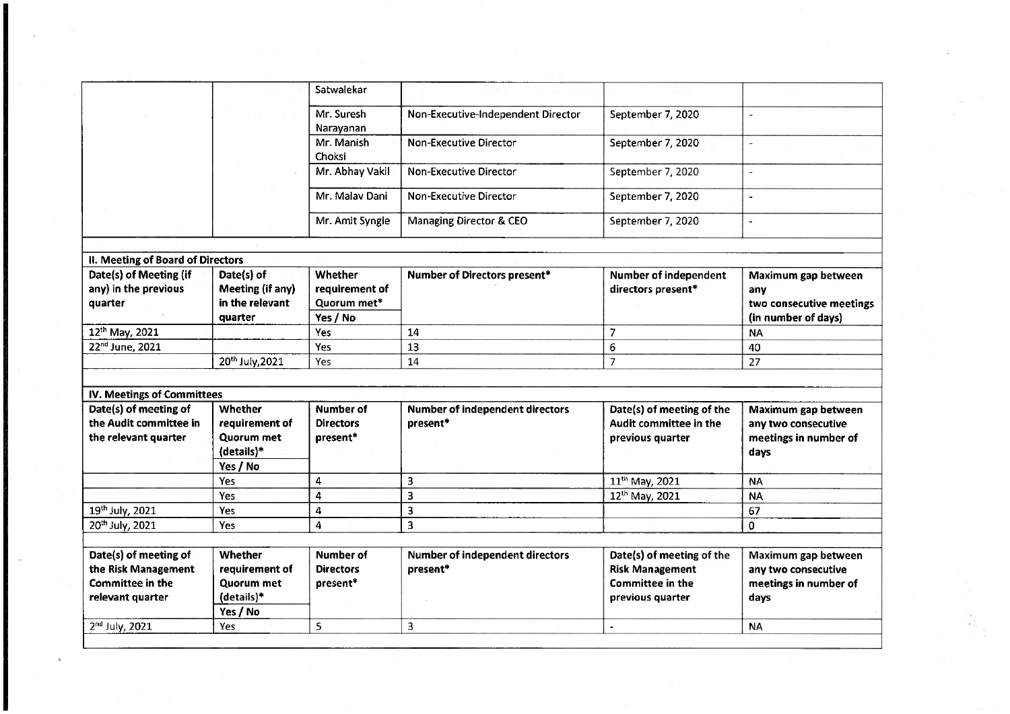|                                                           |                                                   | Satwalekar                               |                                                    |                                                     |                                                        |
|-----------------------------------------------------------|---------------------------------------------------|------------------------------------------|----------------------------------------------------|-----------------------------------------------------|--------------------------------------------------------|
|                                                           |                                                   | Mr. Suresh<br>Narayanan                  | Non-Executive-Independent Director                 | September 7, 2020                                   | u.                                                     |
|                                                           |                                                   | Mr. Manish<br>Choksi                     | <b>Non-Executive Director</b>                      | September 7, 2020                                   | $\overline{\phantom{a}}$                               |
|                                                           |                                                   | Mr. Abhay Vakil                          | <b>Non-Executive Director</b>                      | September 7, 2020                                   | $\overline{a}$                                         |
|                                                           |                                                   | Mr. Malav Dani                           | Non-Executive Director                             | September 7, 2020                                   | L.                                                     |
|                                                           |                                                   | Mr. Amit Syngle                          | Managing Director & CEO                            | September 7, 2020                                   | $\overline{a}$                                         |
|                                                           |                                                   |                                          |                                                    |                                                     |                                                        |
| II. Meeting of Board of Directors                         |                                                   |                                          |                                                    |                                                     |                                                        |
| Date(s) of Meeting (if<br>any) in the previous<br>quarter | Date(s) of<br>Meeting (if any)<br>in the relevant | Whether<br>requirement of<br>Quorum met* | Number of Directors present*                       | <b>Number of independent</b><br>directors present*  | Maximum gap between<br>any<br>two consecutive meetings |
|                                                           | quarter                                           | Yes / No                                 |                                                    |                                                     | (in number of days)                                    |
| 12th May, 2021                                            |                                                   | Yes                                      | 14                                                 | $\overline{7}$                                      | <b>NA</b>                                              |
| 22 <sup>nd</sup> June, 2021                               |                                                   | Yes                                      | 13                                                 | 6                                                   | 40                                                     |
|                                                           | 20th July, 2021                                   | Yes                                      | 14                                                 | $\overline{7}$                                      | 27                                                     |
|                                                           |                                                   |                                          |                                                    |                                                     |                                                        |
| IV. Meetings of Committees                                |                                                   |                                          |                                                    |                                                     |                                                        |
| Date(s) of meeting of                                     | <b>Whether</b>                                    | Number of                                | Number of independent directors                    | Date(s) of meeting of the                           | Maximum gap between                                    |
| the Audit committee in                                    | requirement of                                    | <b>Directors</b>                         | present*                                           | Audit committee in the                              | any two consecutive                                    |
| the relevant quarter                                      | Quorum met                                        | present*                                 |                                                    | previous quarter                                    | meetings in number of                                  |
|                                                           | (details)*                                        |                                          |                                                    |                                                     | days                                                   |
|                                                           | Yes / No                                          |                                          |                                                    |                                                     |                                                        |
|                                                           | <b>Yes</b>                                        | 4                                        | 3                                                  | 11 <sup>th</sup> May, 2021                          | <b>NA</b>                                              |
|                                                           | Yes                                               | 4                                        | 3                                                  | 12th May, 2021                                      | <b>NA</b>                                              |
| 19th July, 2021                                           | Yes                                               | 4                                        | 3                                                  |                                                     | 67                                                     |
| 20th July, 2021                                           | Yes                                               | 4                                        | 3                                                  |                                                     | 0                                                      |
|                                                           |                                                   |                                          |                                                    |                                                     |                                                        |
| Date(s) of meeting of<br>the Risk Management              | Whether<br>requirement of                         | Number of<br><b>Directors</b>            | <b>Number of independent directors</b><br>present* | Date(s) of meeting of the<br><b>Risk Management</b> | Maximum gap between<br>any two consecutive             |
| <b>Committee in the</b>                                   | Quorum met                                        | present*                                 |                                                    | <b>Committee in the</b>                             | meetings in number of                                  |
| relevant quarter                                          | (details)*                                        |                                          |                                                    | previous quarter                                    | days                                                   |
|                                                           | Yes / No                                          |                                          |                                                    |                                                     |                                                        |
| 2nd July, 2021                                            | Yes                                               | 5                                        | 3                                                  | $\overline{\phantom{a}}$                            | <b>NA</b>                                              |
|                                                           |                                                   |                                          |                                                    |                                                     |                                                        |
|                                                           |                                                   |                                          |                                                    |                                                     |                                                        |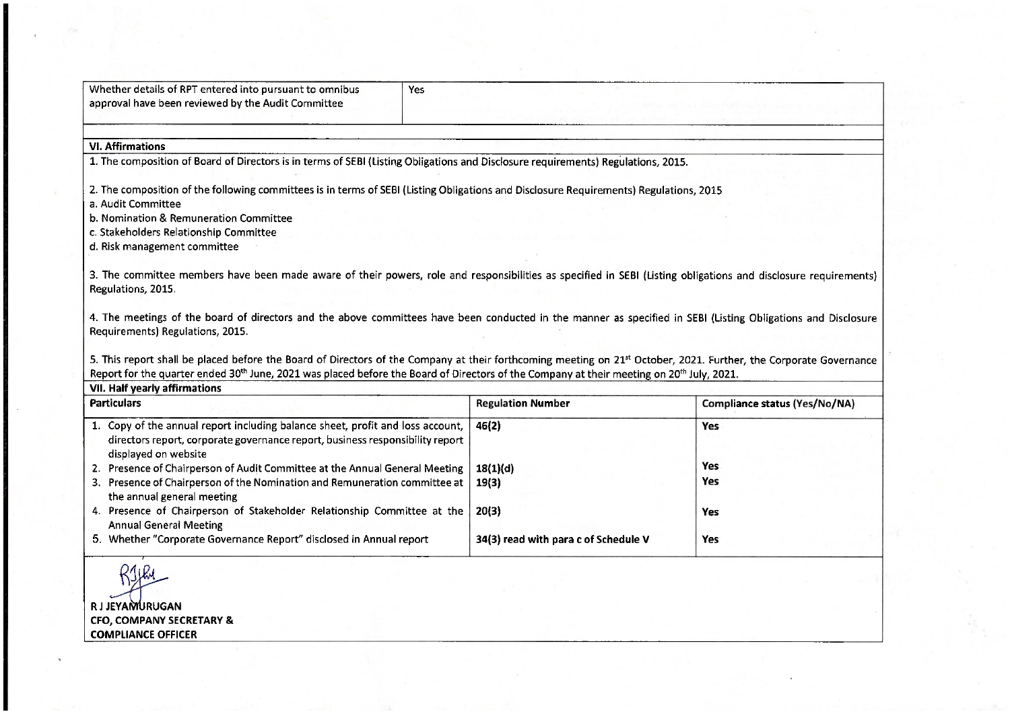| Whether details of RPT entered into pursuant to omnibus<br>approval have been reviewed by the Audit Committee | Yes                                                                                                                                    |
|---------------------------------------------------------------------------------------------------------------|----------------------------------------------------------------------------------------------------------------------------------------|
|                                                                                                               |                                                                                                                                        |
| <b>VI. Affirmations</b>                                                                                       |                                                                                                                                        |
|                                                                                                               | 1. The composition of Board of Directors is in terms of SEBI (Listing Obligations and Disclosure requirements) Regulations, 2015.      |
|                                                                                                               |                                                                                                                                        |
|                                                                                                               | 2. The composition of the following committees is in terms of SEBI (Listing Obligations and Disclosure Requirements) Regulations, 2015 |
| a. Audit Committee                                                                                            |                                                                                                                                        |
| b. Nomination & Remuneration Committee                                                                        |                                                                                                                                        |
|                                                                                                               |                                                                                                                                        |
| c. Stakeholders Relationship Committee                                                                        |                                                                                                                                        |
| d. Risk management committee                                                                                  |                                                                                                                                        |
|                                                                                                               |                                                                                                                                        |

3. The committee members have been made aware of their powers, role and responsibilities as specified in SEBI (Listing obligations and disclosure requirements) Regulations, 2015.

4. The meetings of the board of directors and the above committees have been conducted in the manner as specified in SEBI (Listing Obligations and Disclosure Requirements) Regulations, 2015.

5. This report shall be placed before the Board of Directors of the Company at their forthcoming meeting on 21<sup>st</sup> October, 2021. Further, the Corporate Governance Report for the quarter ended 30<sup>th</sup> June, 2021 was placed before the Board of Directors of the Company at their meeting on 20<sup>th</sup> July, 2021.

| <b>Particulars</b>                                                                                                                                                                      | <b>Regulation Number</b>             | Compliance status (Yes/No/NA) |  |  |
|-----------------------------------------------------------------------------------------------------------------------------------------------------------------------------------------|--------------------------------------|-------------------------------|--|--|
| 1. Copy of the annual report including balance sheet, profit and loss account,<br>directors report, corporate governance report, business responsibility report<br>displayed on website | 46(2)                                | Yes                           |  |  |
| 2. Presence of Chairperson of Audit Committee at the Annual General Meeting                                                                                                             | 18(1)(d)                             | <b>Yes</b>                    |  |  |
| 3. Presence of Chairperson of the Nomination and Remuneration committee at<br>the annual general meeting                                                                                | 19(3)                                | Yes                           |  |  |
| 4. Presence of Chairperson of Stakeholder Relationship Committee at the<br><b>Annual General Meeting</b>                                                                                | 20(3)                                | Yes                           |  |  |
| 5. Whether "Corporate Governance Report" disclosed in Annual report                                                                                                                     | 34(3) read with para c of Schedule V | Yes                           |  |  |

**RJJEYAMURUGAN** CFO, COMPANY SECRETARY & **COMPLIANCE OFFICER**